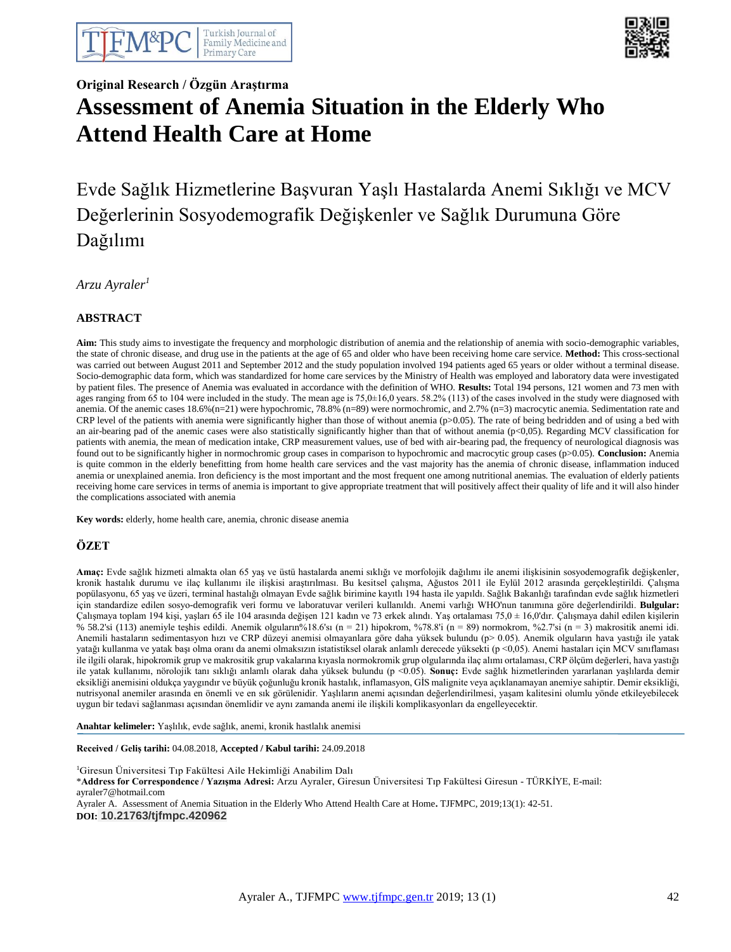



# **Original Research / Özgün Araştırma Assessment of Anemia Situation in the Elderly Who Attend Health Care at Home**

# Evde Sağlık Hizmetlerine Başvuran Yaşlı Hastalarda Anemi Sıklığı ve MCV Değerlerinin Sosyodemografik Değişkenler ve Sağlık Durumuna Göre Dağılımı

*Arzu Ayraler<sup>1</sup>*

## **ABSTRACT**

**Aim:** This study aims to investigate the frequency and morphologic distribution of anemia and the relationship of anemia with socio-demographic variables, the state of chronic disease, and drug use in the patients at the age of 65 and older who have been receiving home care service. **Method:** This cross-sectional was carried out between August 2011 and September 2012 and the study population involved 194 patients aged 65 years or older without a terminal disease. Socio-demographic data form, which was standardized for home care services by the Ministry of Health was employed and laboratory data were investigated by patient files. The presence of Anemia was evaluated in accordance with the definition of WHO. **Results:** Total 194 persons, 121 women and 73 men with ages ranging from 65 to 104 were included in the study. The mean age is 75,0±16,0 years. 58.2% (113) of the cases involved in the study were diagnosed with anemia. Of the anemic cases 18.6%(n=21) were hypochromic, 78.8% (n=89) were normochromic, and 2.7% (n=3) macrocytic anemia. Sedimentation rate and CRP level of the patients with anemia were significantly higher than those of without anemia (p>0.05). The rate of being bedridden and of using a bed with an air-bearing pad of the anemic cases were also statistically significantly higher than that of without anemia (p<0,05). Regarding MCV classification for patients with anemia, the mean of medication intake, CRP measurement values, use of bed with air-bearing pad, the frequency of neurological diagnosis was found out to be significantly higher in normochromic group cases in comparison to hypochromic and macrocytic group cases (p>0.05). **Conclusion:** Anemia is quite common in the elderly benefitting from home health care services and the vast majority has the anemia of chronic disease, inflammation induced anemia or unexplained anemia. Iron deficiency is the most important and the most frequent one among nutritional anemias. The evaluation of elderly patients receiving home care services in terms of anemia is important to give appropriate treatment that will positively affect their quality of life and it will also hinder the complications associated with anemia

**Key words:** elderly, home health care, anemia, chronic disease anemia

## **ÖZET**

**Amaç:** Evde sağlık hizmeti almakta olan 65 yaş ve üstü hastalarda anemi sıklığı ve morfolojik dağılımı ile anemi ilişkisinin sosyodemografik değişkenler, kronik hastalık durumu ve ilaç kullanımı ile ilişkisi araştırılması. Bu kesitsel çalışma, Ağustos 2011 ile Eylül 2012 arasında gerçekleştirildi. Çalışma popülasyonu, 65 yaş ve üzeri, terminal hastalığı olmayan Evde sağlık birimine kayıtlı 194 hasta ile yapıldı. Sağlık Bakanlığı tarafından evde sağlık hizmetleri için standardize edilen sosyo-demografik veri formu ve laboratuvar verileri kullanıldı. Anemi varlığı WHO'nun tanımına göre değerlendirildi. **Bulgular:** Çalışmaya toplam 194 kişi, yaşları 65 ile 104 arasında değişen 121 kadın ve 73 erkek alındı. Yaş ortalaması 75,0 ± 16,0'dır. Çalışmaya dahil edilen kişilerin % 58.2'si (113) anemiyle teşhis edildi. Anemik olguların%18.6'sı (n = 21) hipokrom, %78.8'i (n = 89) normokrom, %2.7'si (n = 3) makrositik anemi idi. Anemili hastaların sedimentasyon hızı ve CRP düzeyi anemisi olmayanlara göre daha yüksek bulundu (p> 0.05). Anemik olguların hava yastığı ile yatak yatağı kullanma ve yatak başı olma oranı da anemi olmaksızın istatistiksel olarak anlamlı derecede yüksekti (p <0,05). Anemi hastaları için MCV sınıflaması ile ilgili olarak, hipokromik grup ve makrositik grup vakalarına kıyasla normokromik grup olgularında ilaç alımı ortalaması, CRP ölçüm değerleri, hava yastığı ile yatak kullanımı, nörolojik tanı sıklığı anlamlı olarak daha yüksek bulundu (p <0.05). **Sonuç:** Evde sağlık hizmetlerinden yararlanan yaşlılarda demir eksikliği anemisini oldukça yaygındır ve büyük çoğunluğu kronik hastalık, inflamasyon, GİS malignite veya açıklanamayan anemiye sahiptir. Demir eksikliği, nutrisyonal anemiler arasında en önemli ve en sık görülenidir. Yaşlıların anemi açısından değerlendirilmesi, yaşam kalitesini olumlu yönde etkileyebilecek uygun bir tedavi sağlanması açısından önemlidir ve aynı zamanda anemi ile ilişkili komplikasyonları da engelleyecektir.

**Anahtar kelimeler:** Yaşlılık, evde sağlık, anemi, kronik hastlalık anemisi

**Received / Geliş tarihi:** 04.08.2018, **Accepted / Kabul tarihi:** 24.09.2018

<sup>1</sup>Giresun Üniversitesi Tıp Fakültesi Aile Hekimliği Anabilim Dalı \***Address for Correspondence / Yazışma Adresi:** Arzu Ayraler, Giresun Üniversitesi Tıp Fakültesi Giresun - TÜRKİYE, E-mail: ayraler7@hotmail.com Ayraler A. Assessment of Anemia Situation in the Elderly Who Attend Health Care at Home**.** TJFMPC, 2019;13(1): 42-51. **DOI: 10.21763/tjfmpc.420962**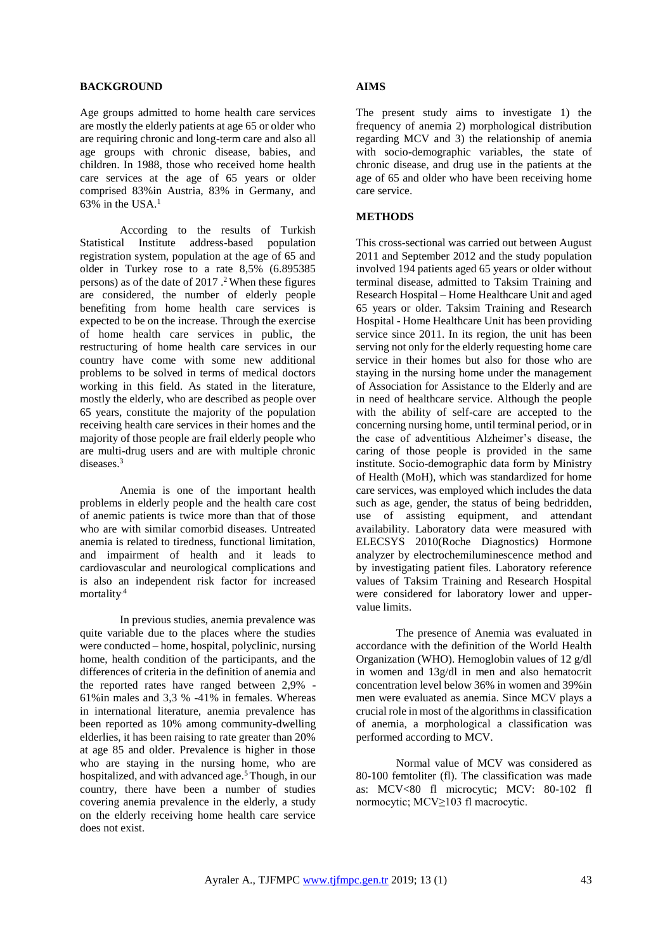#### **BACKGROUND**

Age groups admitted to home health care services are mostly the elderly patients at age 65 or older who are requiring chronic and long-term care and also all age groups with chronic disease, babies, and children. In 1988, those who received home health care services at the age of 65 years or older comprised 83%in Austria, 83% in Germany, and  $63\%$  in the USA.<sup>1</sup>

According to the results of Turkish Statistical Institute address-based population registration system, population at the age of 65 and older in Turkey rose to a rate 8,5% (6.895385 persons) as of the date of 2017 . <sup>2</sup> When these figures are considered, the number of elderly people benefiting from home health care services is expected to be on the increase. Through the exercise of home health care services in public, the restructuring of home health care services in our country have come with some new additional problems to be solved in terms of medical doctors working in this field. As stated in the literature, mostly the elderly, who are described as people over 65 years, constitute the majority of the population receiving health care services in their homes and the majority of those people are frail elderly people who are multi-drug users and are with multiple chronic diseases.<sup>3</sup>

Anemia is one of the important health problems in elderly people and the health care cost of anemic patients is twice more than that of those who are with similar comorbid diseases. Untreated anemia is related to tiredness, functional limitation, and impairment of health and it leads to cardiovascular and neurological complications and is also an independent risk factor for increased mortality.4

In previous studies, anemia prevalence was quite variable due to the places where the studies were conducted – home, hospital, polyclinic, nursing home, health condition of the participants, and the differences of criteria in the definition of anemia and the reported rates have ranged between 2,9% - 61%in males and 3,3 % -41% in females. Whereas in international literature, anemia prevalence has been reported as 10% among community-dwelling elderlies, it has been raising to rate greater than 20% at age 85 and older. Prevalence is higher in those who are staying in the nursing home, who are hospitalized, and with advanced age.<sup>5</sup> Though, in our country, there have been a number of studies covering anemia prevalence in the elderly, a study on the elderly receiving home health care service does not exist.

#### **AIMS**

The present study aims to investigate 1) the frequency of anemia 2) morphological distribution regarding MCV and 3) the relationship of anemia with socio-demographic variables, the state of chronic disease, and drug use in the patients at the age of 65 and older who have been receiving home care service.

#### **METHODS**

This cross-sectional was carried out between August 2011 and September 2012 and the study population involved 194 patients aged 65 years or older without terminal disease, admitted to Taksim Training and Research Hospital – Home Healthcare Unit and aged 65 years or older. Taksim Training and Research Hospital - Home Healthcare Unit has been providing service since 2011. In its region, the unit has been serving not only for the elderly requesting home care service in their homes but also for those who are staying in the nursing home under the management of Association for Assistance to the Elderly and are in need of healthcare service. Although the people with the ability of self-care are accepted to the concerning nursing home, until terminal period, or in the case of adventitious Alzheimer's disease, the caring of those people is provided in the same institute. Socio-demographic data form by Ministry of Health (MoH), which was standardized for home care services, was employed which includes the data such as age, gender, the status of being bedridden, use of assisting equipment, and attendant availability. Laboratory data were measured with ELECSYS 2010(Roche Diagnostics) Hormone analyzer by electrochemiluminescence method and by investigating patient files. Laboratory reference values of Taksim Training and Research Hospital were considered for laboratory lower and uppervalue limits.

The presence of Anemia was evaluated in accordance with the definition of the World Health Organization (WHO). Hemoglobin values of 12 g/dl in women and 13g/dl in men and also hematocrit concentration level below 36% in women and 39%in men were evaluated as anemia. Since MCV plays a crucial role in most of the algorithms in classification of anemia, a morphological a classification was performed according to MCV.

Normal value of MCV was considered as 80-100 femtoliter (fl). The classification was made as: MCV<80 fl microcytic; MCV: 80-102 fl normocytic; MCV≥103 fl macrocytic.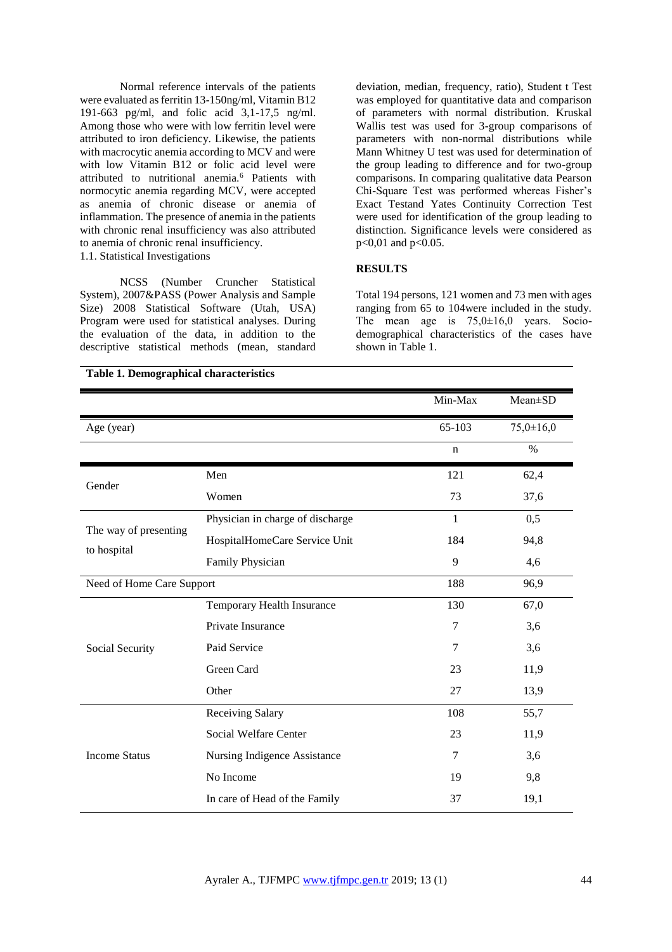Normal reference intervals of the patients were evaluated as ferritin 13-150ng/ml, Vitamin B12 191-663 pg/ml, and folic acid 3,1-17,5 ng/ml. Among those who were with low ferritin level were attributed to iron deficiency. Likewise, the patients with macrocytic anemia according to MCV and were with low Vitamin B12 or folic acid level were attributed to nutritional anemia.<sup>6</sup> Patients with normocytic anemia regarding MCV, were accepted as anemia of chronic disease or anemia of inflammation. The presence of anemia in the patients with chronic renal insufficiency was also attributed to anemia of chronic renal insufficiency. 1.1. Statistical Investigations

NCSS (Number Cruncher Statistical System), 2007&PASS (Power Analysis and Sample Size) 2008 Statistical Software (Utah, USA) Program were used for statistical analyses. During the evaluation of the data, in addition to the descriptive statistical methods (mean, standard

deviation, median, frequency, ratio), Student t Test was employed for quantitative data and comparison of parameters with normal distribution. Kruskal Wallis test was used for 3-group comparisons of parameters with non-normal distributions while Mann Whitney U test was used for determination of the group leading to difference and for two-group comparisons. In comparing qualitative data Pearson Chi-Square Test was performed whereas Fisher's Exact Testand Yates Continuity Correction Test were used for identification of the group leading to distinction. Significance levels were considered as p<0,01 and p<0.05.

## **RESULTS**

Total 194 persons, 121 women and 73 men with ages ranging from 65 to 104were included in the study. The mean age is  $75,0 \pm 16,0$  years. Sociodemographical characteristics of the cases have shown in Table 1.

|                                      |                                  | Min-Max        | $Mean \pm SD$   |
|--------------------------------------|----------------------------------|----------------|-----------------|
| Age (year)                           |                                  | 65-103         | $75,0 \pm 16,0$ |
|                                      |                                  | n              | $\%$            |
| Gender                               | Men                              | 121            | 62,4            |
|                                      | Women                            | 73             | 37,6            |
|                                      | Physician in charge of discharge | 1              | 0,5             |
| The way of presenting<br>to hospital | HospitalHomeCare Service Unit    | 184            | 94,8            |
|                                      | Family Physician                 | 9              | 4,6             |
| Need of Home Care Support            |                                  | 188            | 96,9            |
|                                      | Temporary Health Insurance       | 130            | 67,0            |
|                                      | Private Insurance                | 7              | 3,6             |
| Social Security                      | Paid Service                     | $\overline{7}$ | 3,6             |
|                                      | Green Card                       | 23             | 11,9            |
|                                      | Other                            | 27             | 13,9            |
|                                      | Receiving Salary                 | 108            | 55,7            |
| <b>Income Status</b>                 | Social Welfare Center            | 23             | 11,9            |
|                                      | Nursing Indigence Assistance     | 7              | 3,6             |
|                                      | No Income                        | 19             | 9,8             |
|                                      | In care of Head of the Family    | 37             | 19,1            |

**Table 1. Demographical characteristics**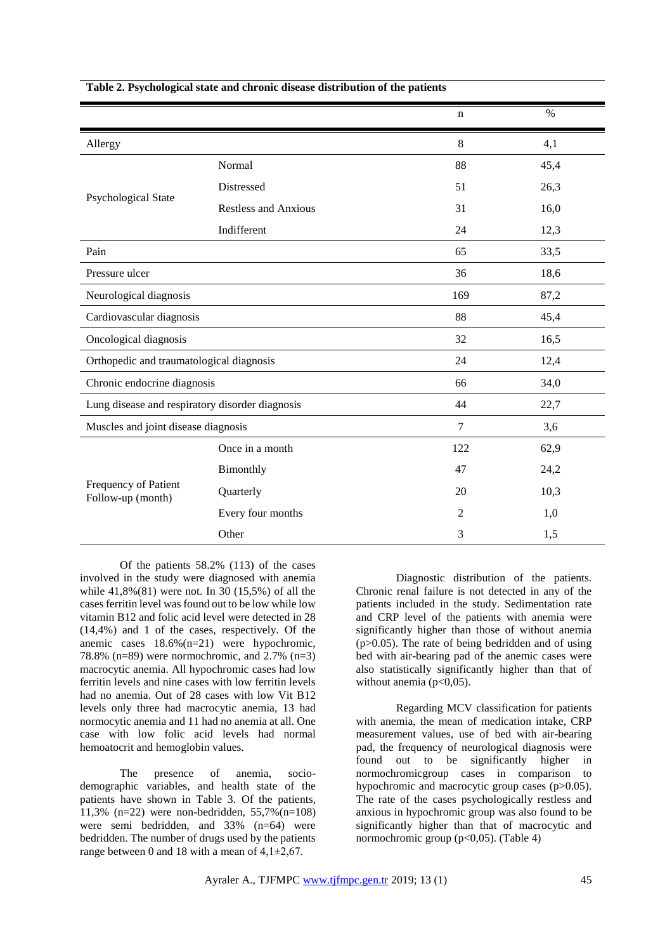|                                                 |                             | $\mathbf n$    | $\%$ |  |
|-------------------------------------------------|-----------------------------|----------------|------|--|
| Allergy                                         |                             | 8              | 4,1  |  |
|                                                 | Normal                      | 88             | 45,4 |  |
|                                                 | Distressed                  | 51             | 26,3 |  |
| Psychological State                             | <b>Restless and Anxious</b> | 31             | 16,0 |  |
|                                                 | Indifferent                 | 24             | 12,3 |  |
| Pain                                            |                             | 65             | 33,5 |  |
| Pressure ulcer                                  |                             | 36             | 18,6 |  |
| Neurological diagnosis                          |                             | 169            | 87,2 |  |
| Cardiovascular diagnosis                        |                             | 88             | 45,4 |  |
| Oncological diagnosis                           |                             | 32             | 16,5 |  |
| Orthopedic and traumatological diagnosis        |                             | 24             | 12,4 |  |
| Chronic endocrine diagnosis                     |                             | 66             | 34,0 |  |
| Lung disease and respiratory disorder diagnosis |                             | 44             | 22,7 |  |
| Muscles and joint disease diagnosis             |                             | $\overline{7}$ | 3,6  |  |
|                                                 | Once in a month             | 122            | 62,9 |  |
|                                                 | Bimonthly                   | 47             | 24,2 |  |
| Frequency of Patient<br>Follow-up (month)       | Quarterly                   | 20             | 10,3 |  |
|                                                 | Every four months           | 2              | 1,0  |  |
|                                                 | Other                       | 3              | 1,5  |  |

#### **Table 2. Psychological state and chronic disease distribution of the patients**

Of the patients 58.2% (113) of the cases involved in the study were diagnosed with anemia while 41,8%(81) were not. In 30 (15,5%) of all the cases ferritin level was found out to be low while low vitamin B12 and folic acid level were detected in 28 (14,4%) and 1 of the cases, respectively. Of the anemic cases 18.6%(n=21) were hypochromic, 78.8% (n=89) were normochromic, and 2.7% (n=3) macrocytic anemia. All hypochromic cases had low ferritin levels and nine cases with low ferritin levels had no anemia. Out of 28 cases with low Vit B12 levels only three had macrocytic anemia, 13 had normocytic anemia and 11 had no anemia at all. One case with low folic acid levels had normal hemoatocrit and hemoglobin values.

The presence of anemia, sociodemographic variables, and health state of the patients have shown in Table 3. Of the patients, 11,3% (n=22) were non-bedridden, 55,7%(n=108) were semi bedridden, and 33% (n=64) were bedridden. The number of drugs used by the patients range between 0 and 18 with a mean of  $4,1\pm2,67$ .

Diagnostic distribution of the patients. Chronic renal failure is not detected in any of the patients included in the study. Sedimentation rate and CRP level of the patients with anemia were significantly higher than those of without anemia (p>0.05). The rate of being bedridden and of using bed with air-bearing pad of the anemic cases were also statistically significantly higher than that of without anemia  $(p<0.05)$ .

Regarding MCV classification for patients with anemia, the mean of medication intake, CRP measurement values, use of bed with air-bearing pad, the frequency of neurological diagnosis were found out to be significantly higher in normochromicgroup cases in comparison to hypochromic and macrocytic group cases (p>0.05). The rate of the cases psychologically restless and anxious in hypochromic group was also found to be significantly higher than that of macrocytic and normochromic group ( $p<0,05$ ). (Table 4)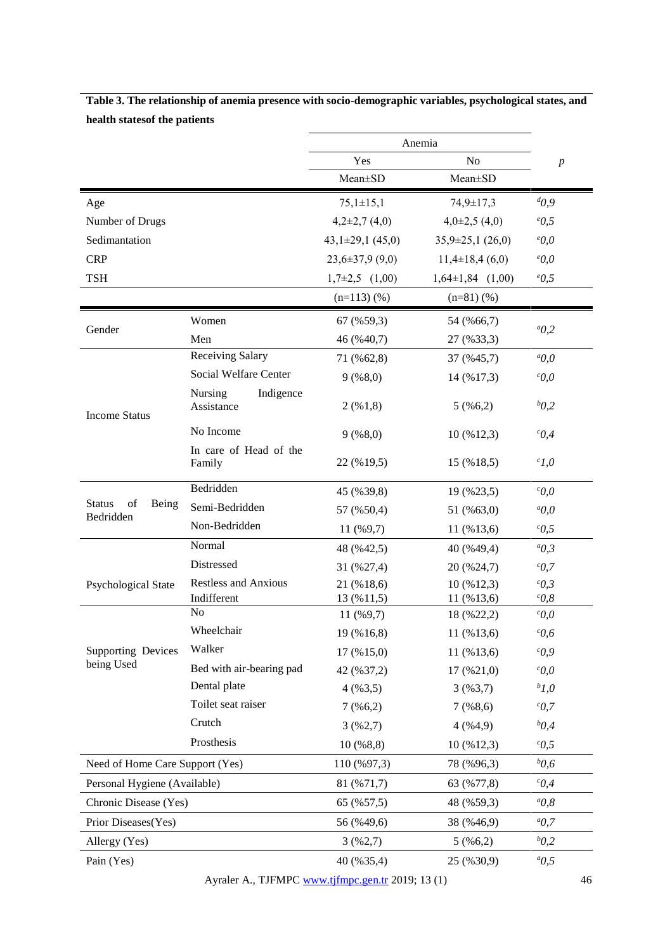|                                           |                                    | Anemia                |                        |                       |
|-------------------------------------------|------------------------------------|-----------------------|------------------------|-----------------------|
|                                           |                                    | No<br>Yes             |                        | $\boldsymbol{p}$      |
|                                           |                                    | Mean±SD               | Mean±SD                |                       |
| Age                                       |                                    | $75,1 \pm 15,1$       | 74,9±17,3              | $d_{0,9}$             |
| Number of Drugs                           |                                    | $4,2\pm2,7(4,0)$      | $4,0\pm2,5$ (4,0)      | $^{\circ}0,5$         |
| Sedimantation                             |                                    | $43,1\pm29,1(45,0)$   | $35,9\pm 25,1(26,0)$   | $^{\circ}0,0$         |
| <b>CRP</b>                                |                                    | $23,6 \pm 37,9$ (9,0) | $11,4\pm 18,4(6,0)$    | $e_{0,0}$             |
| <b>TSH</b>                                |                                    | $1,7\pm 2,5$ $(1,00)$ | $1,64\pm1,84$ $(1,00)$ | $\epsilon$ 0,5        |
|                                           |                                    | $(n=113)(%$           | $(n=81)(%$             |                       |
|                                           | Women                              | 67 (%59,3)            | 54 (%66,7)             |                       |
| Gender                                    | Men                                | 46 (%40,7)            | 27 (%33,3)             | ${}^{a}$ 0,2          |
|                                           | Receiving Salary                   | 71 (%62,8)            | 37 (%45,7)             | ${}^aO, O$            |
|                                           | Social Welfare Center              | 9(%8,0)               | 14 (%17,3)             | $c_{0,0}$             |
| <b>Income Status</b>                      | Nursing<br>Indigence<br>Assistance | 2( %1, 8)             | 5(%6,2)                | $b_{0,2}$             |
|                                           | No Income                          | 9(%8,0)               | 10 (%12,3)             | $\mathcal{C}$ 0,4     |
|                                           | In care of Head of the<br>Family   | 22 (%19,5)            | 15 (%18,5)             | $c_{1,0}$             |
|                                           | Bedridden                          | 45 (%39,8)            | 19 (%23,5)             | $c_{0,0}$             |
| <b>Status</b><br>of<br>Being<br>Bedridden | Semi-Bedridden                     | 57 (%50,4)            | 51 (%63,0)             | $a_{0,0}$             |
|                                           | Non-Bedridden                      | $11($ %9,7)           | 11 (%13,6)             | $\,^c0,5$             |
|                                           | Normal                             | 48 (%42,5)            | 40 (%49,4)             | ${}^aO,3$             |
|                                           | Distressed                         | 31 (%27,4)            | 20 (%24,7)             | ${}^cO, 7$            |
| Psychological State                       | <b>Restless and Anxious</b>        | 21 (%18,6)            | 10 (%12,3)             | $\mathcal{C}$ , 3     |
|                                           | Indifferent                        | 13 (%11,5)            | 11 (%13,6)             | $\mathcal{C}^{c}$ 0,8 |
|                                           | N <sub>o</sub>                     | 11 (%9,7)             | 18 (%22,2)             | $c_{0,0}$             |
|                                           | Wheelchair                         | 19 (%16,8)            | 11 (%13,6)             | $c_{0,6}$             |
| <b>Supporting Devices</b><br>being Used   | Walker                             | $17($ % $15,0)$       | 11 (%13,6)             | $c_{0,9}$             |
|                                           | Bed with air-bearing pad           | 42 (%37,2)            | $17($ % $21,0)$        | $c_{0,0}$             |
|                                           | Dental plate                       | 4(%3,5)               | 3(%3,7)                | $b_{1,0}$             |
|                                           | Toilet seat raiser                 | $7($ %6,2)            | $7($ %8,6)             | $c_{0,7}$             |
|                                           | Crutch                             | 3(962,7)              | 4(%4,9)                | $b_{0,4}$             |
|                                           | Prosthesis                         | 10(%8,8)              | 10 (%12,3)             | $\,^c0,5$             |
| Need of Home Care Support (Yes)           |                                    | 110 (%97,3)           | 78 (%96,3)             | $b_{0,6}$             |
| Personal Hygiene (Available)              |                                    | 81 (%71,7)            | 63 (%77,8)             | $c_{0,4}$             |
| Chronic Disease (Yes)                     |                                    | 65 (%57,5)            | 48 (%59,3)             | $a_0$ , 8             |
| Prior Diseases(Yes)                       |                                    | 56 (%49,6)            | 38 (%46,9)             | ${}^{a}$ O, 7         |
| Allergy (Yes)                             |                                    | 3(962,7)              | 5(%6,2)                | $b_{0,2}$             |
| Pain (Yes)                                |                                    | 40 (%35,4)            | 25 (%30,9)             | ${}^{a}$ O, 5         |

**Table 3. The relationship of anemia presence with socio-demographic variables, psychological states, and health statesof the patients** 

Ayraler A., TJFMPC [www.tjfmpc.gen.tr](http://www.tjfmpc.gen.tr/) 2019; 13 (1) 46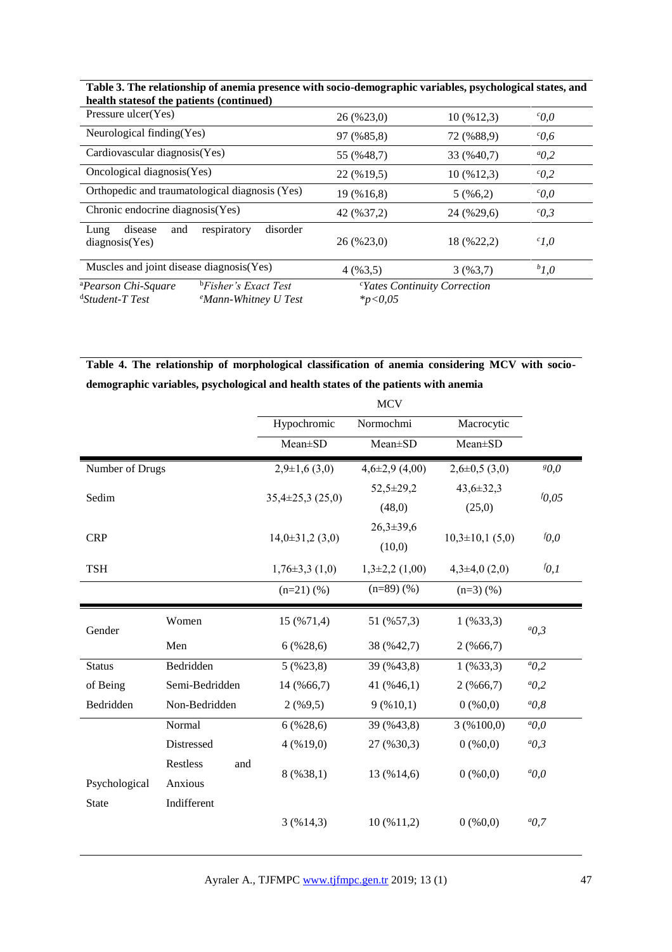| health states of the patients (continued)      |                                  |              |                                          |                   |
|------------------------------------------------|----------------------------------|--------------|------------------------------------------|-------------------|
| Pressure ulcer(Yes)                            |                                  | 26 (%23,0)   | 10(%12,3)                                | $^{c}O, O$        |
| Neurological finding (Yes)                     |                                  | 97 (%85,8)   | 72 (%88,9)                               | $\mathcal{C}0,6$  |
| Cardiovascular diagnosis(Yes)                  |                                  | 55 (%48.7)   | 33 (%40,7)                               | $a_{0,2}$         |
| Oncological diagnosis (Yes)                    |                                  | 22 (%19,5)   | $10\,(%12,3)$                            | $c_{0,2}$         |
| Orthopedic and traumatological diagnosis (Yes) |                                  | 19 (%16.8)   | 5(966,2)                                 | $c_{0,0}$         |
| Chronic endocrine diagnosis (Yes)              |                                  | 42 (%37,2)   | 24 (%29,6)                               | $\mathcal{C}O, 3$ |
| disease<br>and<br>Lung<br>diagnostic(Yes)      | disorder<br>respiratory          | 26 (%23,0)   | 18 (%22,2)                               | $c_{1,0}$         |
| Muscles and joint disease diagnosis (Yes)      |                                  | 4(963,5)     | 3(963,7)                                 | $b_{1,0}$         |
| <sup>a</sup> Pearson Chi-Square                | <sup>b</sup> Fisher's Exact Test |              | <sup>c</sup> Yates Continuity Correction |                   |
| <sup>d</sup> Student-T Test                    | <sup>e</sup> Mann-Whitney U Test | $*_{p<0,05}$ |                                          |                   |

**Table 3. The relationship of anemia presence with socio-demographic variables, psychological states, and** 

**Table 4. The relationship of morphological classification of anemia considering MCV with sociodemographic variables, psychological and health states of the patients with anemia**

|                 |                 |                      | <b>MCV</b>         |                    |               |
|-----------------|-----------------|----------------------|--------------------|--------------------|---------------|
|                 |                 | Hypochromic          | Normochmi          | Macrocytic         |               |
|                 |                 | Mean±SD              | Mean±SD            | Mean±SD            |               |
| Number of Drugs |                 | $2,9\pm1,6$ (3,0)    | $4,6\pm2,9$ (4,00) | $2,6\pm0,5$ (3,0)  | 80,0          |
|                 |                 | $35,4\pm 25,3(25,0)$ | $52,5 \pm 29,2$    | $43,6 \pm 32,3$    | $f_{0,05}$    |
| Sedim           |                 |                      | (48,0)             | (25,0)             |               |
|                 |                 |                      | $26,3 \pm 39,6$    |                    |               |
| <b>CRP</b>      |                 | $14,0\pm31,2(3,0)$   | (10,0)             | $10,3\pm10,1(5,0)$ | $f_{0,0}$     |
| <b>TSH</b>      |                 | $1,76\pm3,3(1,0)$    | $1,3\pm2,2(1,00)$  | $4,3\pm4,0(2,0)$   | $f_{0,1}$     |
|                 |                 | $(n=21)(%$           | $(n=89)$ $(\%)$    | $(n=3)$ $(\% )$    |               |
| Gender          | Women           | 15 (%71,4)           | 51 (%57,3)         | $1($ %33,3)        | ${}^aO,3$     |
|                 | Men             | 6(%28,6)             | 38 (%42,7)         | $2($ %66,7)        |               |
| <b>Status</b>   | Bedridden       | $5($ %23,8)          | 39 (%43,8)         | $1($ %33,3)        | $a_{0,2}$     |
| of Being        | Semi-Bedridden  | 14 (%66,7)           | 41 (%46,1)         | $2($ %66,7)        | $a_{0,2}$     |
| Bedridden       | Non-Bedridden   | $2($ %9,5)           | 9(%10,1)           | $0($ % $0,0)$      | $a_{0,8}$     |
|                 | Normal          | 6(%28,6)             | 39 (%43,8)         | 3(%100,0)          | ${}^aO, O$    |
|                 | Distressed      | 4(%19,0)             | 27 (%30,3)         | $0($ % $0,0)$      | $a_{0,3}$     |
|                 | Restless<br>and | 8(%38,1)             |                    | $0($ % $0,0)$      | $a_{0,0}$     |
| Psychological   | Anxious         |                      | 13 (%14,6)         |                    |               |
| <b>State</b>    | Indifferent     |                      |                    |                    |               |
|                 |                 | 3(%14,3)             | 10(%11,2)          | $0($ % $0,0)$      | ${}^{a}$ O, 7 |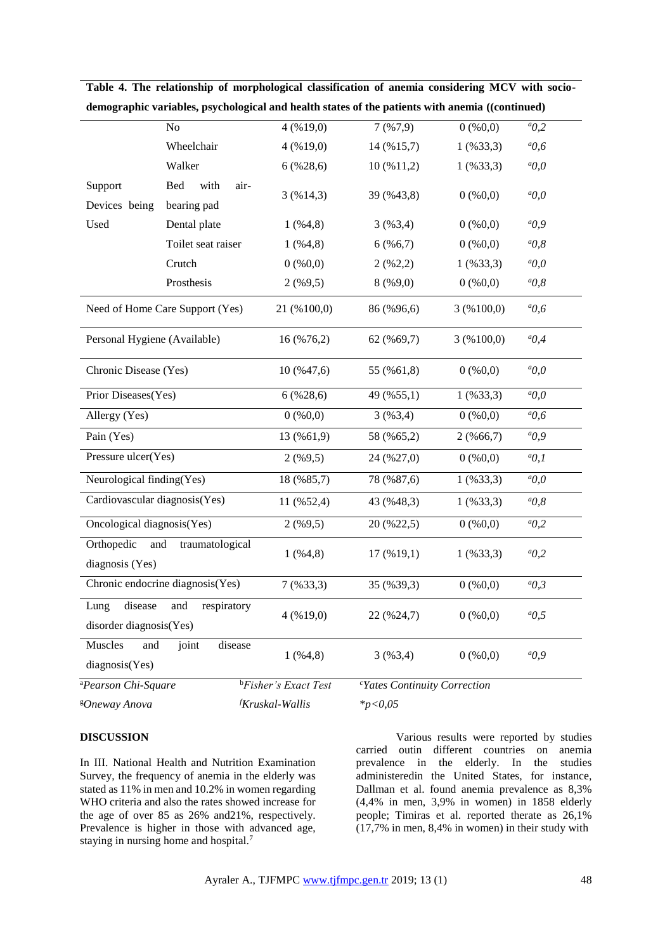|                                                                  | N <sub>o</sub>                     | 4(%19,0)                         | 7(%7,9)                                  | $0($ % $0,0)$ | ${}^a 0,2$   |
|------------------------------------------------------------------|------------------------------------|----------------------------------|------------------------------------------|---------------|--------------|
|                                                                  | Wheelchair                         | 4(%19,0)                         | 14 (%15,7)                               | $1($ %33,3)   | ${}^{a}$ 0,6 |
|                                                                  | Walker                             | 6(%28,6)                         | 10(%11,2)                                | $1($ %33,3)   | $a_{0,0}$    |
| Support<br>Devices being                                         | Bed<br>with<br>air-<br>bearing pad | 3(%14,3)                         | 39 (%43,8)                               | $0($ % $0,0)$ | $a_{0,0}$    |
| Used                                                             | Dental plate                       | 1( %4, 8)                        | 3(%3,4)                                  | $0($ % $0,0)$ | $a_{0,9}$    |
|                                                                  | Toilet seat raiser                 | 1( %4, 8)                        | 6(%6,7)                                  | $0($ % $0,0)$ | $a_{0,8}$    |
|                                                                  | Crutch                             | $0($ % $0,0)$                    | 2(962,2)                                 | $1($ %33,3)   | $a_{0,0}$    |
|                                                                  | Prosthesis                         | $2($ %9,5)                       | 8(%9,0)                                  | $0($ % $0,0)$ | $a_{0,8}$    |
| Need of Home Care Support (Yes)                                  |                                    | 21 (%100,0)                      | 86 (%96,6)                               | 3(%100,0)     | $^{a}0,6$    |
| Personal Hygiene (Available)                                     |                                    | 16 (%76,2)                       | 62 (%69,7)                               | 3(%100,0)     | ${}^aO, 4$   |
| Chronic Disease (Yes)                                            |                                    | 10 (%47,6)                       | 55 (%61,8)                               | $0($ % $0,0)$ | $a_{0,0}$    |
|                                                                  | Prior Diseases(Yes)                |                                  | 49 (%55,1)                               | $1($ %33,3)   | $a_{0,0}$    |
| Allergy (Yes)                                                    |                                    | $0($ % $0,0)$                    | 3(%3,4)                                  | $0($ % $0,0)$ | $^{a}0,6$    |
| Pain (Yes)                                                       |                                    |                                  | 58 (%65,2)                               | $2($ %66,7)   | $a_0, 9$     |
| Pressure ulcer(Yes)                                              |                                    | $2($ %9,5)                       | 24 (%27,0)                               | $0($ % $0,0)$ | $a_0,1$      |
| Neurological finding(Yes)                                        |                                    | 18 (%85,7)                       | 78 (%87,6)                               | $1($ %33,3)   | $a_{0,0}$    |
| Cardiovascular diagnosis(Yes)                                    |                                    | 11 (%52,4)                       | 43 (%48,3)                               | $1($ %33,3)   | $a_{0,8}$    |
| Oncological diagnosis(Yes)                                       |                                    | $2($ %9,5)                       | 20 (%22,5)                               | $0($ % $0,0)$ | $a_{0,2}$    |
| Orthopedic and<br>traumatological<br>diagnosis (Yes)             |                                    | 1( %4, 8)                        | $17($ % $19,1)$                          | $1($ %33,3)   | $a_{0,2}$    |
| Chronic endocrine diagnosis(Yes)                                 |                                    | $7($ %33,3)                      | 35 (%39,3)                               | $0($ % $0,0)$ | ${}^aO,3$    |
| disease<br>respiratory<br>Lung<br>and<br>disorder diagnosis(Yes) |                                    | 4(%19,0)                         | 22 (%24,7)                               | $0($ % $0,0)$ | $^{a}0.5$    |
| Muscles<br>and<br>diagnosis(Yes)                                 | disease<br>joint                   | 1( %4, 8)                        | 3(%3,4)                                  | $0($ % $0,0)$ | $a_{0,9}$    |
| <sup>a</sup> Pearson Chi-Square                                  |                                    | <sup>b</sup> Fisher's Exact Test | <sup>c</sup> Yates Continuity Correction |               |              |
| <sup>g</sup> Oneway Anova                                        |                                    | <sup>f</sup> Kruskal-Wallis      | $*_{p<0,05}$                             |               |              |

**Table 4. The relationship of morphological classification of anemia considering MCV with sociodemographic variables, psychological and health states of the patients with anemia ((continued)**

# **DISCUSSION**

In III. National Health and Nutrition Examination Survey, the frequency of anemia in the elderly was stated as 11% in men and 10.2% in women regarding WHO criteria and also the rates showed increase for the age of over 85 as 26% and21%, respectively. Prevalence is higher in those with advanced age, staying in nursing home and hospital.<sup>7</sup>

Various results were reported by studies carried outin different countries on anemia prevalence in the elderly. In the studies administeredin the United States, for instance, Dallman et al. found anemia prevalence as 8,3% (4,4% in men, 3,9% in women) in 1858 elderly people; Timiras et al. reported therate as 26,1% (17,7% in men, 8,4% in women) in their study with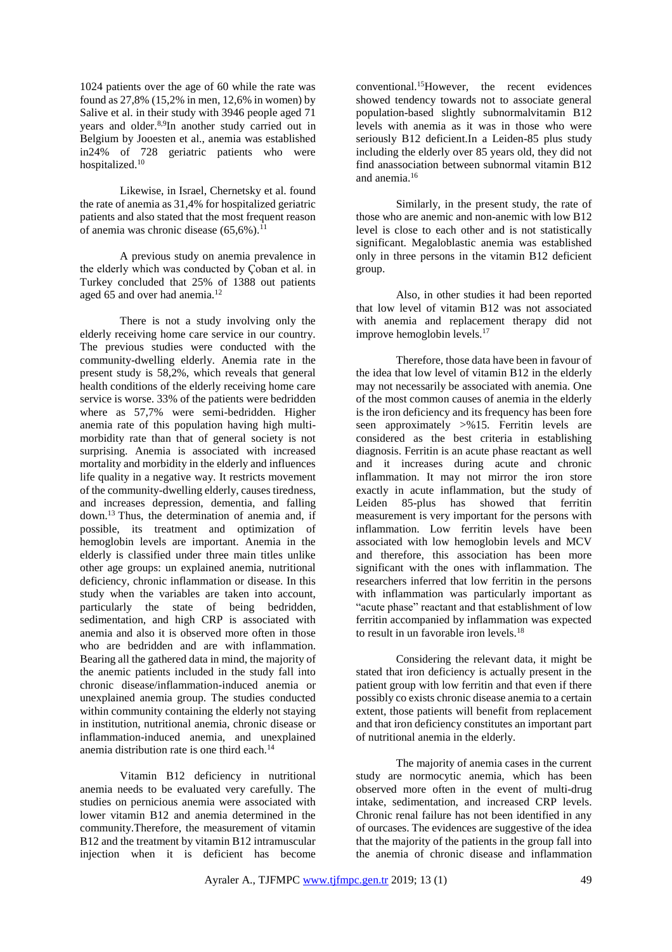1024 patients over the age of 60 while the rate was found as 27,8% (15,2% in men, 12,6% in women) by Salive et al. in their study with 3946 people aged 71 years and older.<sup>8,9</sup>In another study carried out in Belgium by Jooesten et al., anemia was established in24% of 728 geriatric patients who were hospitalized.<sup>10</sup>

Likewise, in Israel, Chernetsky et al. found the rate of anemia as 31,4% for hospitalized geriatric patients and also stated that the most frequent reason of anemia was chronic disease  $(65,6\%)$ .<sup>11</sup>

A previous study on anemia prevalence in the elderly which was conducted by Çoban et al. in Turkey concluded that 25% of 1388 out patients aged 65 and over had anemia.<sup>12</sup>

There is not a study involving only the elderly receiving home care service in our country. The previous studies were conducted with the community-dwelling elderly. Anemia rate in the present study is 58,2%, which reveals that general health conditions of the elderly receiving home care service is worse. 33% of the patients were bedridden where as 57,7% were semi-bedridden. Higher anemia rate of this population having high multimorbidity rate than that of general society is not surprising. Anemia is associated with increased mortality and morbidity in the elderly and influences life quality in a negative way. It restricts movement of the community-dwelling elderly, causes tiredness, and increases depression, dementia, and falling down.<sup>13</sup> Thus, the determination of anemia and, if possible, its treatment and optimization of hemoglobin levels are important. Anemia in the elderly is classified under three main titles unlike other age groups: un explained anemia, nutritional deficiency, chronic inflammation or disease. In this study when the variables are taken into account, particularly the state of being bedridden, sedimentation, and high CRP is associated with anemia and also it is observed more often in those who are bedridden and are with inflammation. Bearing all the gathered data in mind, the majority of the anemic patients included in the study fall into chronic disease/inflammation-induced anemia or unexplained anemia group. The studies conducted within community containing the elderly not staying in institution, nutritional anemia, chronic disease or inflammation-induced anemia, and unexplained anemia distribution rate is one third each.<sup>14</sup>

Vitamin B12 deficiency in nutritional anemia needs to be evaluated very carefully. The studies on pernicious anemia were associated with lower vitamin B12 and anemia determined in the community.Therefore, the measurement of vitamin B12 and the treatment by vitamin B12 intramuscular injection when it is deficient has become

conventional.<sup>15</sup>However, the recent evidences showed tendency towards not to associate general population-based slightly subnormalvitamin B12 levels with anemia as it was in those who were seriously B12 deficient.In a Leiden-85 plus study including the elderly over 85 years old, they did not find anassociation between subnormal vitamin B12 and anemia.<sup>16</sup>

Similarly, in the present study, the rate of those who are anemic and non-anemic with low B12 level is close to each other and is not statistically significant. Megaloblastic anemia was established only in three persons in the vitamin B12 deficient group.

Also, in other studies it had been reported that low level of vitamin B12 was not associated with anemia and replacement therapy did not improve hemoglobin levels.<sup>17</sup>

Therefore, those data have been in favour of the idea that low level of vitamin B12 in the elderly may not necessarily be associated with anemia. One of the most common causes of anemia in the elderly is the iron deficiency and its frequency has been fore seen approximately >%15. Ferritin levels are considered as the best criteria in establishing diagnosis. Ferritin is an acute phase reactant as well and it increases during acute and chronic inflammation. It may not mirror the iron store exactly in acute inflammation, but the study of Leiden 85-plus has showed that ferritin measurement is very important for the persons with inflammation. Low ferritin levels have been associated with low hemoglobin levels and MCV and therefore, this association has been more significant with the ones with inflammation. The researchers inferred that low ferritin in the persons with inflammation was particularly important as "acute phase" reactant and that establishment of low ferritin accompanied by inflammation was expected to result in un favorable iron levels. $18$ 

Considering the relevant data, it might be stated that iron deficiency is actually present in the patient group with low ferritin and that even if there possibly co exists chronic disease anemia to a certain extent, those patients will benefit from replacement and that iron deficiency constitutes an important part of nutritional anemia in the elderly.

The majority of anemia cases in the current study are normocytic anemia, which has been observed more often in the event of multi-drug intake, sedimentation, and increased CRP levels. Chronic renal failure has not been identified in any of ourcases. The evidences are suggestive of the idea that the majority of the patients in the group fall into the anemia of chronic disease and inflammation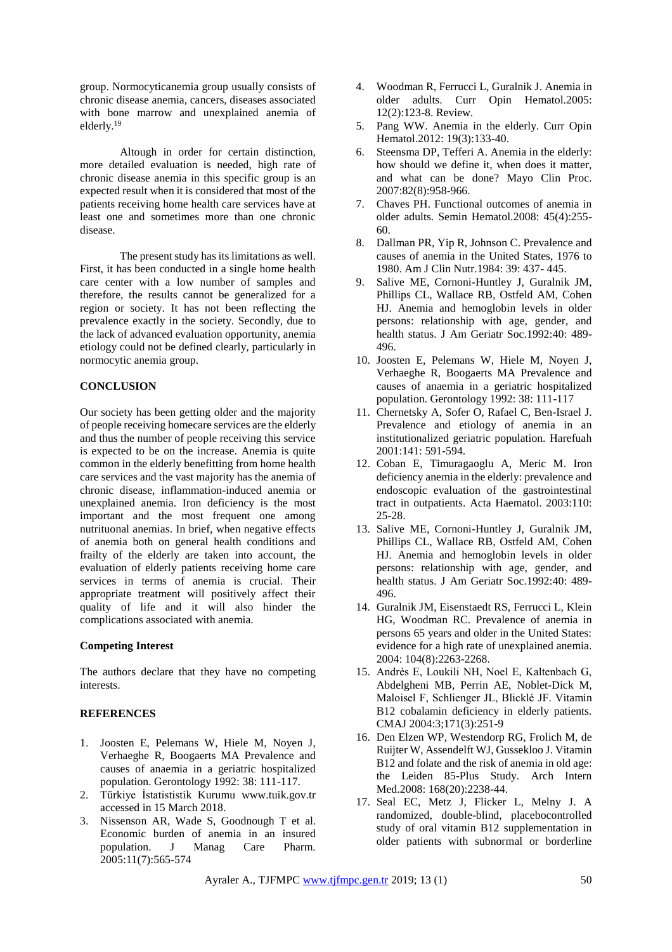group. Normocyticanemia group usually consists of chronic disease anemia, cancers, diseases associated with bone marrow and unexplained anemia of elderly.<sup>19</sup>

Altough in order for certain distinction, more detailed evaluation is needed, high rate of chronic disease anemia in this specific group is an expected result when it is considered that most of the patients receiving home health care services have at least one and sometimes more than one chronic disease.

The present study has its limitations as well. First, it has been conducted in a single home health care center with a low number of samples and therefore, the results cannot be generalized for a region or society. It has not been reflecting the prevalence exactly in the society. Secondly, due to the lack of advanced evaluation opportunity, anemia etiology could not be defined clearly, particularly in normocytic anemia group.

## **CONCLUSION**

Our society has been getting older and the majority of people receiving homecare services are the elderly and thus the number of people receiving this service is expected to be on the increase. Anemia is quite common in the elderly benefitting from home health care services and the vast majority has the anemia of chronic disease, inflammation-induced anemia or unexplained anemia. Iron deficiency is the most important and the most frequent one among nutrituonal anemias. In brief, when negative effects of anemia both on general health conditions and frailty of the elderly are taken into account, the evaluation of elderly patients receiving home care services in terms of anemia is crucial. Their appropriate treatment will positively affect their quality of life and it will also hinder the complications associated with anemia.

## **Competing Interest**

The authors declare that they have no competing interests.

## **REFERENCES**

- 1. Joosten E, Pelemans W, Hiele M, Noyen J, Verhaeghe R, Boogaerts MA Prevalence and causes of anaemia in a geriatric hospitalized population. Gerontology 1992: 38: 111-117.
- 2. Türkiye İstatististik Kurumu www.tuik.gov.tr accessed in 15 March 2018.
- 3. Nissenson AR, Wade S, Goodnough T et al. Economic burden of anemia in an insured population. J Manag Care Pharm. 2005:11(7):565-574
- 4. Woodman R, Ferrucci L, Guralnik J. Anemia in older adults. Curr Opin Hematol.2005: 12(2):123-8. Review.
- 5. Pang WW. Anemia in the elderly. Curr Opin Hematol.2012: 19(3):133-40.
- 6. Steensma DP, Tefferi A. Anemia in the elderly: how should we define it, when does it matter, and what can be done? Mayo Clin Proc. 2007:82(8):958-966.
- 7. Chaves PH. Functional outcomes of anemia in older adults. Semin Hematol.2008: 45(4):255- 60.
- 8. Dallman PR, Yip R, Johnson C. Prevalence and causes of anemia in the United States, 1976 to 1980. Am J Clin Nutr.1984: 39: 437- 445.
- 9. Salive ME, Cornoni-Huntley J, Guralnik JM, Phillips CL, Wallace RB, Ostfeld AM, Cohen HJ. Anemia and hemoglobin levels in older persons: relationship with age, gender, and health status. J Am Geriatr Soc.1992:40: 489- 496.
- 10. Joosten E, Pelemans W, Hiele M, Noyen J, Verhaeghe R, Boogaerts MA Prevalence and causes of anaemia in a geriatric hospitalized population. Gerontology 1992: 38: 111-117
- 11. Chernetsky A, Sofer O, Rafael C, Ben-Israel J. Prevalence and etiology of anemia in an institutionalized geriatric population. Harefuah 2001:141: 591-594.
- 12. Coban E, Timuragaoglu A, Meric M. Iron deficiency anemia in the elderly: prevalence and endoscopic evaluation of the gastrointestinal tract in outpatients. Acta Haematol. 2003:110: 25-28.
- 13. Salive ME, Cornoni-Huntley J, Guralnik JM, Phillips CL, Wallace RB, Ostfeld AM, Cohen HJ. Anemia and hemoglobin levels in older persons: relationship with age, gender, and health status. J Am Geriatr Soc.1992:40: 489- 496.
- 14. Guralnik JM, Eisenstaedt RS, Ferrucci L, Klein HG, Woodman RC. Prevalence of anemia in persons 65 years and older in the United States: evidence for a high rate of unexplained anemia. 2004: 104(8):2263-2268.
- 15. Andrès E, Loukili NH, Noel E, Kaltenbach G, Abdelgheni MB, Perrin AE, Noblet-Dick M, Maloisel F, Schlienger JL, Blicklé JF. Vitamin B12 cobalamin deficiency in elderly patients. CMAJ 2004:3;171(3):251-9
- 16. Den Elzen WP, Westendorp RG, Frolich M, de Ruijter W, Assendelft WJ, Gussekloo J. Vitamin B12 and folate and the risk of anemia in old age: the Leiden 85-Plus Study. Arch Intern Med.2008: 168(20):2238-44.
- 17. Seal EC, Metz J, Flicker L, Melny J. A randomized, double-blind, placebocontrolled study of oral vitamin B12 supplementation in older patients with subnormal or borderline